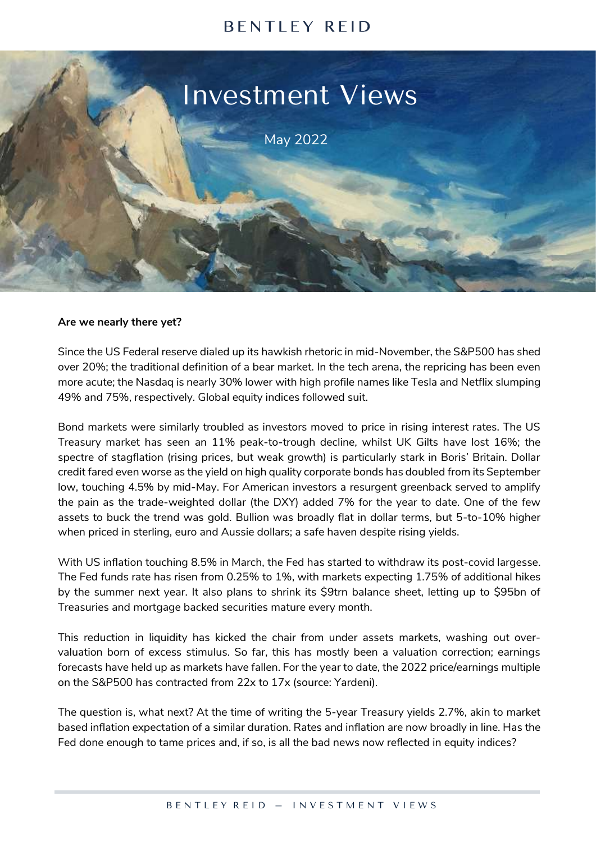# **BENTLEY REID**



#### **Are we nearly there yet?**

Since the US Federal reserve dialed up its hawkish rhetoric in mid-November, the S&P500 has shed over 20%; the traditional definition of a bear market. In the tech arena, the repricing has been even more acute; the Nasdaq is nearly 30% lower with high profile names like Tesla and Netflix slumping 49% and 75%, respectively. Global equity indices followed suit.

Bond markets were similarly troubled as investors moved to price in rising interest rates. The US Treasury market has seen an 11% peak-to-trough decline, whilst UK Gilts have lost 16%; the spectre of stagflation (rising prices, but weak growth) is particularly stark in Boris' Britain. Dollar credit fared even worse as the yield on high quality corporate bonds has doubled from its September low, touching 4.5% by mid-May. For American investors a resurgent greenback served to amplify the pain as the trade-weighted dollar (the DXY) added 7% for the year to date. One of the few assets to buck the trend was gold. Bullion was broadly flat in dollar terms, but 5-to-10% higher when priced in sterling, euro and Aussie dollars; a safe haven despite rising yields.

With US inflation touching 8.5% in March, the Fed has started to withdraw its post-covid largesse. The Fed funds rate has risen from 0.25% to 1%, with markets expecting 1.75% of additional hikes by the summer next year. It also plans to shrink its \$9trn balance sheet, letting up to \$95bn of Treasuries and mortgage backed securities mature every month.

This reduction in liquidity has kicked the chair from under assets markets, washing out overvaluation born of excess stimulus. So far, this has mostly been a valuation correction; earnings forecasts have held up as markets have fallen. For the year to date, the 2022 price/earnings multiple on the S&P500 has contracted from 22x to 17x (source: Yardeni).

The question is, what next? At the time of writing the 5-year Treasury yields 2.7%, akin to market based inflation expectation of a similar duration. Rates and inflation are now broadly in line. Has the Fed done enough to tame prices and, if so, is all the bad news now reflected in equity indices?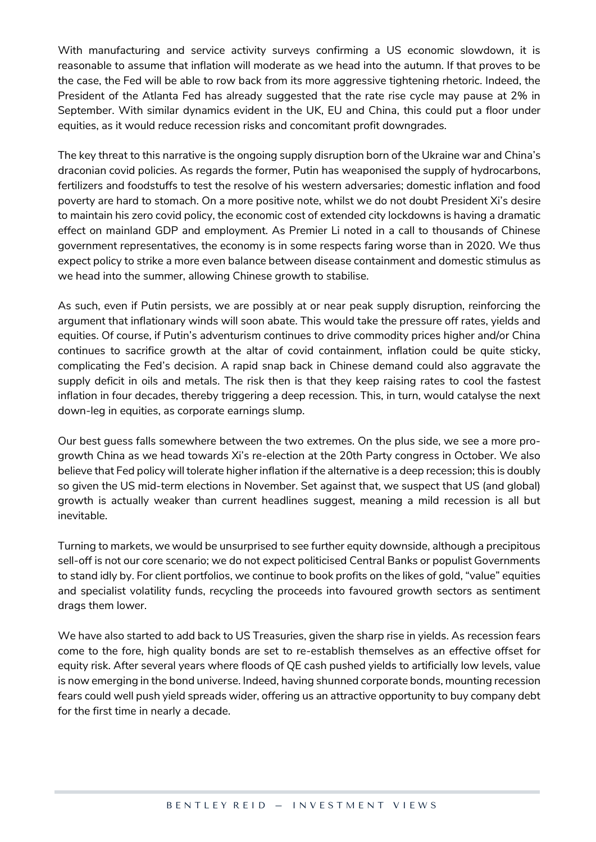With manufacturing and service activity surveys confirming a US economic slowdown, it is reasonable to assume that inflation will moderate as we head into the autumn. If that proves to be the case, the Fed will be able to row back from its more aggressive tightening rhetoric. Indeed, the President of the Atlanta Fed has already suggested that the rate rise cycle may pause at 2% in September. With similar dynamics evident in the UK, EU and China, this could put a floor under equities, as it would reduce recession risks and concomitant profit downgrades.

The key threat to this narrative is the ongoing supply disruption born of the Ukraine war and China's draconian covid policies. As regards the former, Putin has weaponised the supply of hydrocarbons, fertilizers and foodstuffs to test the resolve of his western adversaries; domestic inflation and food poverty are hard to stomach. On a more positive note, whilst we do not doubt President Xi's desire to maintain his zero covid policy, the economic cost of extended city lockdowns is having a dramatic effect on mainland GDP and employment. As Premier Li noted in a call to thousands of Chinese government representatives, the economy is in some respects faring worse than in 2020. We thus expect policy to strike a more even balance between disease containment and domestic stimulus as we head into the summer, allowing Chinese growth to stabilise.

As such, even if Putin persists, we are possibly at or near peak supply disruption, reinforcing the argument that inflationary winds will soon abate. This would take the pressure off rates, yields and equities. Of course, if Putin's adventurism continues to drive commodity prices higher and/or China continues to sacrifice growth at the altar of covid containment, inflation could be quite sticky, complicating the Fed's decision. A rapid snap back in Chinese demand could also aggravate the supply deficit in oils and metals. The risk then is that they keep raising rates to cool the fastest inflation in four decades, thereby triggering a deep recession. This, in turn, would catalyse the next down-leg in equities, as corporate earnings slump.

Our best guess falls somewhere between the two extremes. On the plus side, we see a more progrowth China as we head towards Xi's re-election at the 20th Party congress in October. We also believe that Fed policy will tolerate higher inflation if the alternative is a deep recession; this is doubly so given the US mid-term elections in November. Set against that, we suspect that US (and global) growth is actually weaker than current headlines suggest, meaning a mild recession is all but inevitable.

Turning to markets, we would be unsurprised to see further equity downside, although a precipitous sell-off is not our core scenario; we do not expect politicised Central Banks or populist Governments to stand idly by. For client portfolios, we continue to book profits on the likes of gold, "value" equities and specialist volatility funds, recycling the proceeds into favoured growth sectors as sentiment drags them lower.

We have also started to add back to US Treasuries, given the sharp rise in yields. As recession fears come to the fore, high quality bonds are set to re-establish themselves as an effective offset for equity risk. After several years where floods of QE cash pushed yields to artificially low levels, value is now emerging in the bond universe. Indeed, having shunned corporate bonds, mounting recession fears could well push yield spreads wider, offering us an attractive opportunity to buy company debt for the first time in nearly a decade.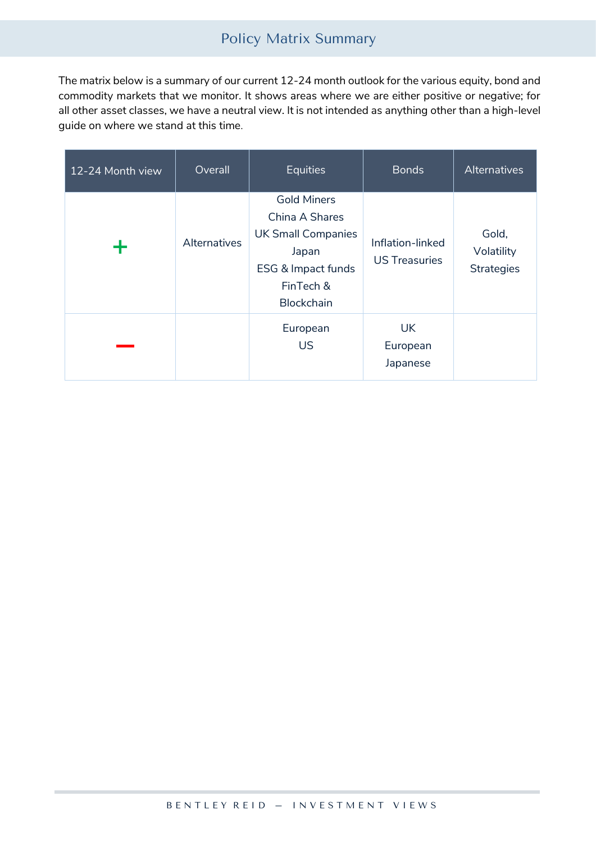# Policy Matrix Summary

The matrix below is a summary of our current 12-24 month outlook for the various equity, bond and commodity markets that we monitor. It shows areas where we are either positive or negative; for all other asset classes, we have a neutral view. It is not intended as anything other than a high-level guide on where we stand at this time.

| 12-24 Month view | Overall      | <b>Equities</b>                                                                                                             | <b>Bonds</b>                             | Alternatives                             |
|------------------|--------------|-----------------------------------------------------------------------------------------------------------------------------|------------------------------------------|------------------------------------------|
| ┭                | Alternatives | <b>Gold Miners</b><br>China A Shares<br><b>UK Small Companies</b><br>Japan<br>ESG & Impact funds<br>FinTech &<br>Blockchain | Inflation-linked<br><b>US Treasuries</b> | Gold,<br>Volatility<br><b>Strategies</b> |
|                  |              | European<br><b>US</b>                                                                                                       | <b>UK</b><br>European<br>Japanese        |                                          |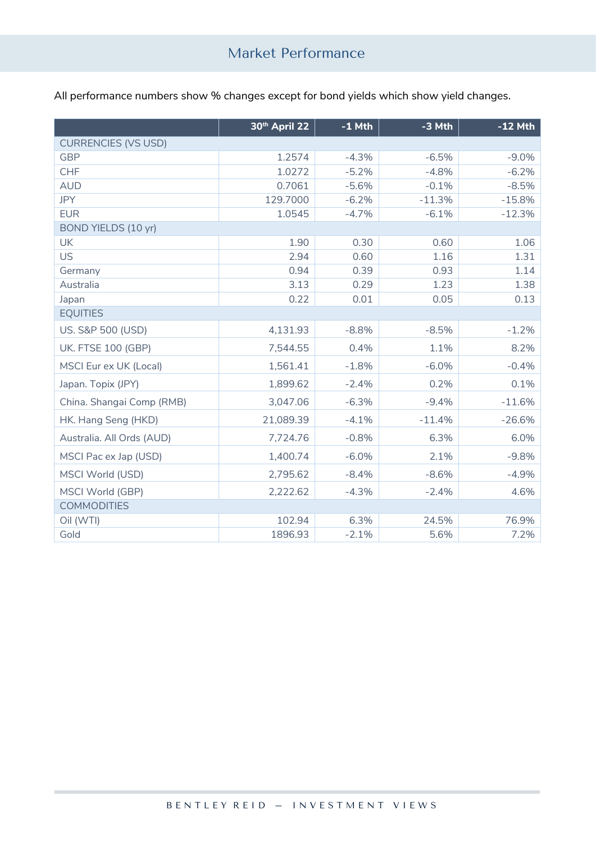All performance numbers show % changes except for bond yields which show yield changes.

|                              | 30th April 22 | $-1$ Mth | -3 Mth   | $-12$ Mth |  |  |  |  |
|------------------------------|---------------|----------|----------|-----------|--|--|--|--|
| <b>CURRENCIES (VS USD)</b>   |               |          |          |           |  |  |  |  |
| <b>GBP</b>                   | 1.2574        | $-4.3%$  | $-6.5%$  | $-9.0%$   |  |  |  |  |
| <b>CHF</b>                   | 1.0272        | $-5.2%$  | $-4.8%$  | $-6.2%$   |  |  |  |  |
| <b>AUD</b>                   | 0.7061        | $-5.6%$  | $-0.1%$  | $-8.5%$   |  |  |  |  |
| <b>JPY</b>                   | 129.7000      | $-6.2%$  | $-11.3%$ | $-15.8%$  |  |  |  |  |
| <b>EUR</b>                   | 1.0545        | $-4.7%$  | $-6.1%$  | $-12.3%$  |  |  |  |  |
| BOND YIELDS (10 yr)          |               |          |          |           |  |  |  |  |
| <b>UK</b>                    | 1.90          | 0.30     | 0.60     | 1.06      |  |  |  |  |
| <b>US</b>                    | 2.94          | 0.60     | 1.16     | 1.31      |  |  |  |  |
| Germany                      | 0.94          | 0.39     | 0.93     | 1.14      |  |  |  |  |
| Australia                    | 3.13          | 0.29     | 1.23     | 1.38      |  |  |  |  |
| Japan                        | 0.22          | 0.01     | 0.05     | 0.13      |  |  |  |  |
| <b>EQUITIES</b>              |               |          |          |           |  |  |  |  |
| <b>US. S&amp;P 500 (USD)</b> | 4,131.93      | $-8.8%$  | $-8.5%$  | $-1.2%$   |  |  |  |  |
| <b>UK. FTSE 100 (GBP)</b>    | 7,544.55      | 0.4%     | 1.1%     | 8.2%      |  |  |  |  |
| MSCI Eur ex UK (Local)       | 1,561.41      | $-1.8%$  | $-6.0%$  | $-0.4%$   |  |  |  |  |
| Japan. Topix (JPY)           | 1,899.62      | $-2.4%$  | 0.2%     | 0.1%      |  |  |  |  |
| China. Shangai Comp (RMB)    | 3,047.06      | $-6.3%$  | $-9.4%$  | $-11.6%$  |  |  |  |  |
| HK. Hang Seng (HKD)          | 21,089.39     | $-4.1%$  | $-11.4%$ | $-26.6%$  |  |  |  |  |
| Australia. All Ords (AUD)    | 7,724.76      | $-0.8%$  | 6.3%     | 6.0%      |  |  |  |  |
| MSCI Pac ex Jap (USD)        | 1,400.74      | $-6.0%$  | 2.1%     | $-9.8%$   |  |  |  |  |
| MSCI World (USD)             | 2,795.62      | $-8.4%$  | $-8.6%$  | $-4.9%$   |  |  |  |  |
| MSCI World (GBP)             | 2,222.62      | $-4.3%$  | $-2.4%$  | 4.6%      |  |  |  |  |
| <b>COMMODITIES</b>           |               |          |          |           |  |  |  |  |
| Oil (WTI)                    | 102.94        | 6.3%     | 24.5%    | 76.9%     |  |  |  |  |
| Gold                         | 1896.93       | $-2.1%$  | 5.6%     | 7.2%      |  |  |  |  |